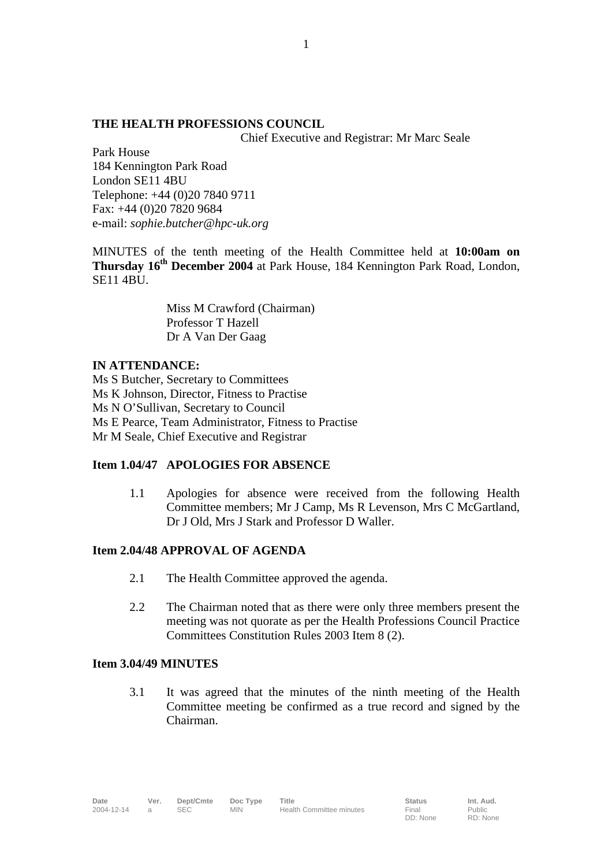#### **THE HEALTH PROFESSIONS COUNCIL**

Chief Executive and Registrar: Mr Marc Seale

Park House 184 Kennington Park Road London SE11 4BU Telephone: +44 (0)20 7840 9711 Fax: +44 (0)20 7820 9684 e-mail: *sophie.butcher@hpc-uk.org*

MINUTES of the tenth meeting of the Health Committee held at **10:00am on Thursday 16th December 2004** at Park House, 184 Kennington Park Road, London, SE11 4BU.

1

Miss M Crawford (Chairman) Professor T Hazell Dr A Van Der Gaag

## **IN ATTENDANCE:**

Ms S Butcher, Secretary to Committees Ms K Johnson, Director, Fitness to Practise Ms N O'Sullivan, Secretary to Council Ms E Pearce, Team Administrator, Fitness to Practise Mr M Seale, Chief Executive and Registrar

## **Item 1.04/47 APOLOGIES FOR ABSENCE**

1.1 Apologies for absence were received from the following Health Committee members; Mr J Camp, Ms R Levenson, Mrs C McGartland, Dr J Old, Mrs J Stark and Professor D Waller.

## **Item 2.04/48 APPROVAL OF AGENDA**

- 2.1 The Health Committee approved the agenda.
- 2.2 The Chairman noted that as there were only three members present the meeting was not quorate as per the Health Professions Council Practice Committees Constitution Rules 2003 Item 8 (2).

#### **Item 3.04/49 MINUTES**

3.1 It was agreed that the minutes of the ninth meeting of the Health Committee meeting be confirmed as a true record and signed by the Chairman.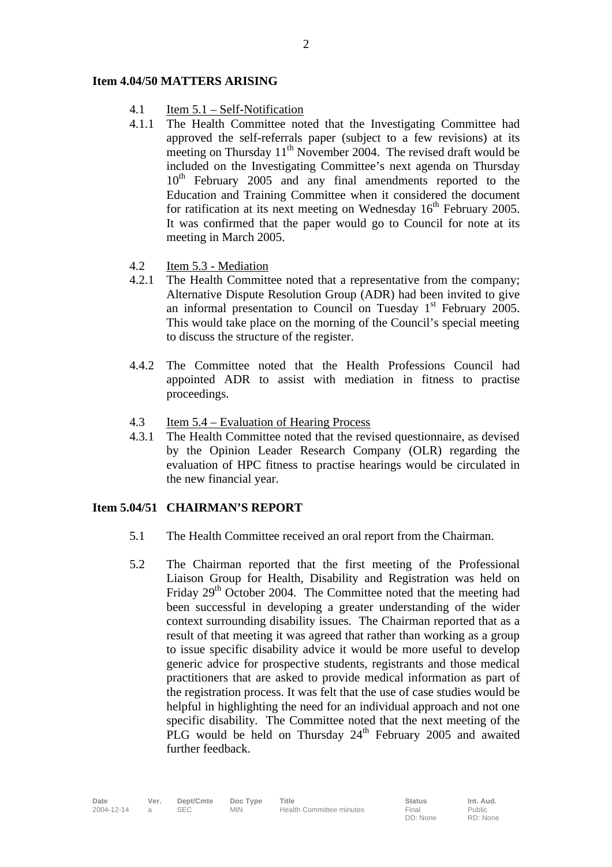#### **Item 4.04/50 MATTERS ARISING**

- 4.1 Item 5.1 Self-Notification
- 4.1.1 The Health Committee noted that the Investigating Committee had approved the self-referrals paper (subject to a few revisions) at its meeting on Thursday  $11<sup>th</sup>$  November 2004. The revised draft would be included on the Investigating Committee's next agenda on Thursday 10<sup>th</sup> February 2005 and any final amendments reported to the Education and Training Committee when it considered the document for ratification at its next meeting on Wednesday  $16<sup>th</sup>$  February 2005. It was confirmed that the paper would go to Council for note at its meeting in March 2005.
- 4.2 Item 5.3 Mediation
- 4.2.1 The Health Committee noted that a representative from the company; Alternative Dispute Resolution Group (ADR) had been invited to give an informal presentation to Council on Tuesday  $1<sup>st</sup>$  February 2005. This would take place on the morning of the Council's special meeting to discuss the structure of the register.
- 4.4.2 The Committee noted that the Health Professions Council had appointed ADR to assist with mediation in fitness to practise proceedings.
- 4.3 Item 5.4 Evaluation of Hearing Process
- 4.3.1 The Health Committee noted that the revised questionnaire, as devised by the Opinion Leader Research Company (OLR) regarding the evaluation of HPC fitness to practise hearings would be circulated in the new financial year.

#### **Item 5.04/51 CHAIRMAN'S REPORT**

- 5.1 The Health Committee received an oral report from the Chairman.
- 5.2 The Chairman reported that the first meeting of the Professional Liaison Group for Health, Disability and Registration was held on Friday 29<sup>th</sup> October 2004. The Committee noted that the meeting had been successful in developing a greater understanding of the wider context surrounding disability issues. The Chairman reported that as a result of that meeting it was agreed that rather than working as a group to issue specific disability advice it would be more useful to develop generic advice for prospective students, registrants and those medical practitioners that are asked to provide medical information as part of the registration process. It was felt that the use of case studies would be helpful in highlighting the need for an individual approach and not one specific disability. The Committee noted that the next meeting of the PLG would be held on Thursday  $24<sup>th</sup>$  February 2005 and awaited further feedback.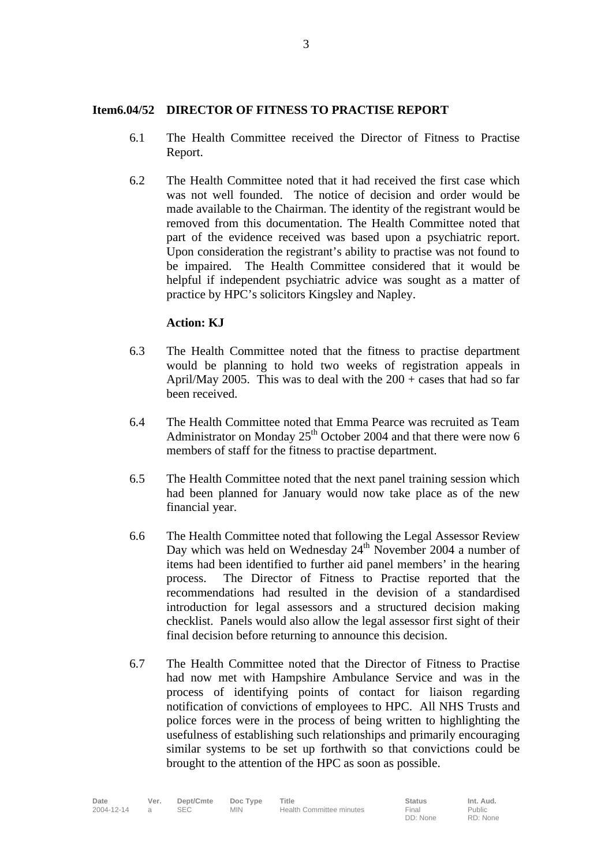#### **Item6.04/52 DIRECTOR OF FITNESS TO PRACTISE REPORT**

- 6.1 The Health Committee received the Director of Fitness to Practise Report.
- 6.2 The Health Committee noted that it had received the first case which was not well founded. The notice of decision and order would be made available to the Chairman. The identity of the registrant would be removed from this documentation. The Health Committee noted that part of the evidence received was based upon a psychiatric report. Upon consideration the registrant's ability to practise was not found to be impaired. The Health Committee considered that it would be helpful if independent psychiatric advice was sought as a matter of practice by HPC's solicitors Kingsley and Napley.

## **Action: KJ**

- 6.3 The Health Committee noted that the fitness to practise department would be planning to hold two weeks of registration appeals in April/May 2005. This was to deal with the  $200 + \text{cases}$  that had so far been received.
- 6.4 The Health Committee noted that Emma Pearce was recruited as Team Administrator on Monday  $25<sup>th</sup>$  October 2004 and that there were now 6 members of staff for the fitness to practise department.
- 6.5 The Health Committee noted that the next panel training session which had been planned for January would now take place as of the new financial year.
- 6.6 The Health Committee noted that following the Legal Assessor Review Day which was held on Wednesday 24<sup>th</sup> November 2004 a number of items had been identified to further aid panel members' in the hearing process. The Director of Fitness to Practise reported that the recommendations had resulted in the devision of a standardised introduction for legal assessors and a structured decision making checklist. Panels would also allow the legal assessor first sight of their final decision before returning to announce this decision.
- 6.7 The Health Committee noted that the Director of Fitness to Practise had now met with Hampshire Ambulance Service and was in the process of identifying points of contact for liaison regarding notification of convictions of employees to HPC. All NHS Trusts and police forces were in the process of being written to highlighting the usefulness of establishing such relationships and primarily encouraging similar systems to be set up forthwith so that convictions could be brought to the attention of the HPC as soon as possible.

| Date       | Ver.           | Dept/Cmte  | Doc Type   | Title                    | <b>Status</b> | Int. Aud.     |
|------------|----------------|------------|------------|--------------------------|---------------|---------------|
| 2004-12-14 | $\overline{a}$ | <b>SEC</b> | <b>MIN</b> | Health Committee minutes | Final         | <b>Public</b> |
|            |                |            |            |                          | DD: None      | RD: None      |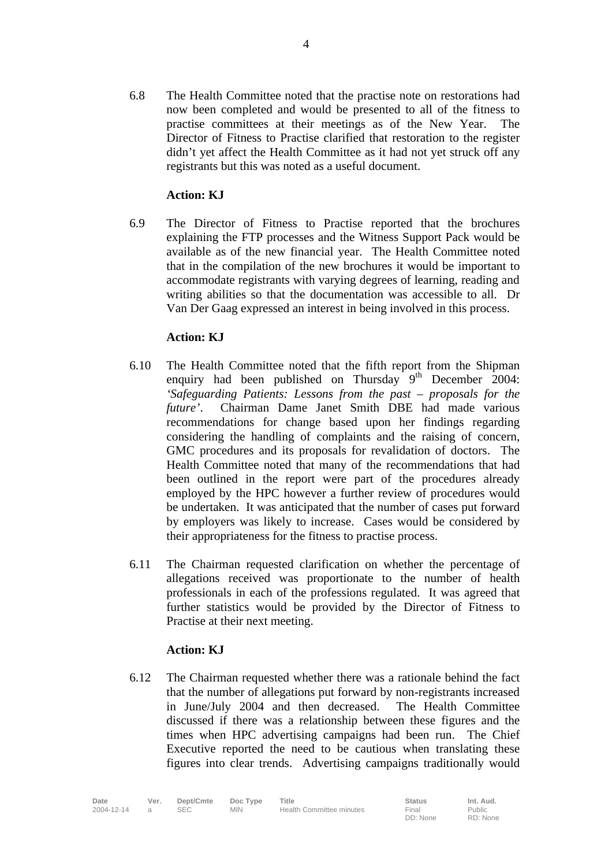6.8 The Health Committee noted that the practise note on restorations had now been completed and would be presented to all of the fitness to practise committees at their meetings as of the New Year. The Director of Fitness to Practise clarified that restoration to the register didn't yet affect the Health Committee as it had not yet struck off any registrants but this was noted as a useful document.

# **Action: KJ**

6.9 The Director of Fitness to Practise reported that the brochures explaining the FTP processes and the Witness Support Pack would be available as of the new financial year. The Health Committee noted that in the compilation of the new brochures it would be important to accommodate registrants with varying degrees of learning, reading and writing abilities so that the documentation was accessible to all. Dr Van Der Gaag expressed an interest in being involved in this process.

## **Action: KJ**

- 6.10 The Health Committee noted that the fifth report from the Shipman enquiry had been published on Thursday  $9<sup>th</sup>$  December 2004: *'Safeguarding Patients: Lessons from the past – proposals for the future'*. Chairman Dame Janet Smith DBE had made various recommendations for change based upon her findings regarding considering the handling of complaints and the raising of concern, GMC procedures and its proposals for revalidation of doctors. The Health Committee noted that many of the recommendations that had been outlined in the report were part of the procedures already employed by the HPC however a further review of procedures would be undertaken. It was anticipated that the number of cases put forward by employers was likely to increase. Cases would be considered by their appropriateness for the fitness to practise process.
- 6.11 The Chairman requested clarification on whether the percentage of allegations received was proportionate to the number of health professionals in each of the professions regulated. It was agreed that further statistics would be provided by the Director of Fitness to Practise at their next meeting.

## **Action: KJ**

6.12 The Chairman requested whether there was a rationale behind the fact that the number of allegations put forward by non-registrants increased in June/July 2004 and then decreased. The Health Committee discussed if there was a relationship between these figures and the times when HPC advertising campaigns had been run. The Chief Executive reported the need to be cautious when translating these figures into clear trends. Advertising campaigns traditionally would